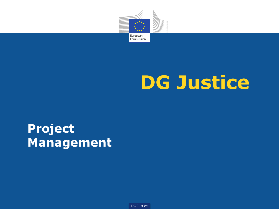

# **DG Justice**

**Project Management** 

DG Justice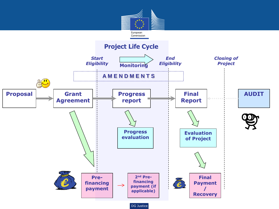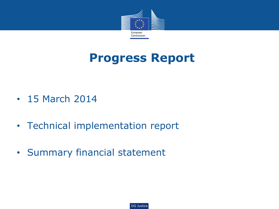

# **Progress Report**

- 15 March 2014
- Technical implementation report
- Summary financial statement

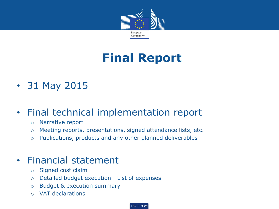

# **Final Report**

• 31 May 2015

### • Final technical implementation report

- o Narrative report
- o Meeting reports, presentations, signed attendance lists, etc.
- o Publications, products and any other planned deliverables

#### • Financial statement

- o Signed cost claim
- o Detailed budget execution List of expenses
- o Budget & execution summary
- o VAT declarations

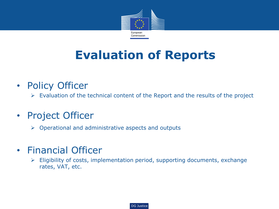

# **Evaluation of Reports**

- Policy Officer
	- $\triangleright$  Evaluation of the technical content of the Report and the results of the project
- Project Officer
	- $\triangleright$  Operational and administrative aspects and outputs
- Financial Officer
	- $\triangleright$  Eligibility of costs, implementation period, supporting documents, exchange rates, VAT, etc.

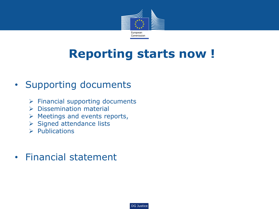

# **Reporting starts now !**

### • Supporting documents

- $\triangleright$  Financial supporting documents
- $\triangleright$  Dissemination material
- $\triangleright$  Meetings and events reports,
- $\triangleright$  Signed attendance lists
- $\triangleright$  Publications
- Financial statement

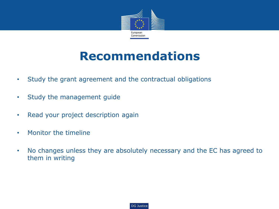

## **Recommendations**

- Study the grant agreement and the contractual obligations
- Study the management guide
- Read your project description again
- Monitor the timeline
- No changes unless they are absolutely necessary and the EC has agreed to them in writing